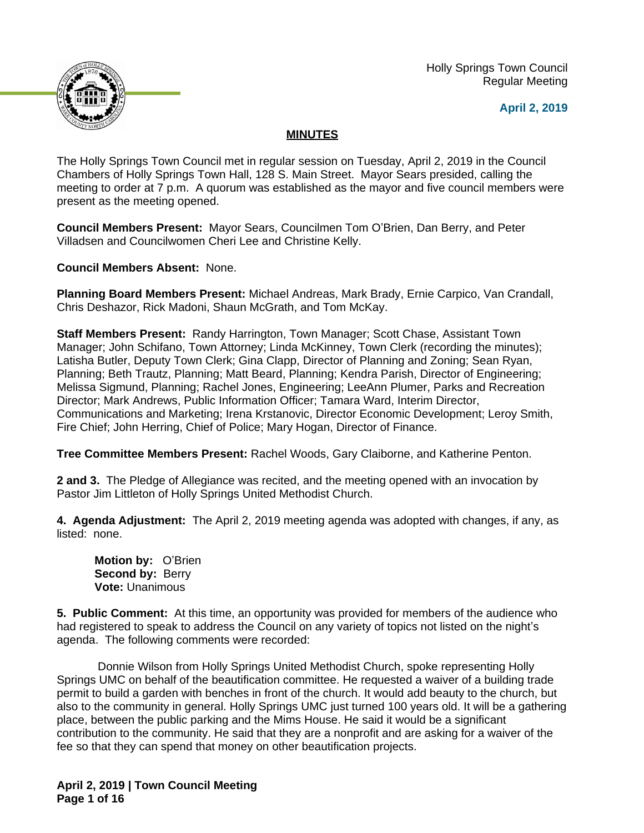

 Holly Springs Town Council Regular Meeting

**April 2, 2019**

# **MINUTES**

The Holly Springs Town Council met in regular session on Tuesday, April 2, 2019 in the Council Chambers of Holly Springs Town Hall, 128 S. Main Street. Mayor Sears presided, calling the meeting to order at 7 p.m. A quorum was established as the mayor and five council members were present as the meeting opened.

**Council Members Present:** Mayor Sears, Councilmen Tom O'Brien, Dan Berry, and Peter Villadsen and Councilwomen Cheri Lee and Christine Kelly.

**Council Members Absent:** None.

**Planning Board Members Present:** Michael Andreas, Mark Brady, Ernie Carpico, Van Crandall, Chris Deshazor, Rick Madoni, Shaun McGrath, and Tom McKay.

**Staff Members Present:** Randy Harrington, Town Manager; Scott Chase, Assistant Town Manager; John Schifano, Town Attorney; Linda McKinney, Town Clerk (recording the minutes); Latisha Butler, Deputy Town Clerk; Gina Clapp, Director of Planning and Zoning; Sean Ryan, Planning; Beth Trautz, Planning; Matt Beard, Planning; Kendra Parish, Director of Engineering; Melissa Sigmund, Planning; Rachel Jones, Engineering; LeeAnn Plumer, Parks and Recreation Director; Mark Andrews, Public Information Officer; Tamara Ward, Interim Director, Communications and Marketing; Irena Krstanovic, Director Economic Development; Leroy Smith, Fire Chief; John Herring, Chief of Police; Mary Hogan, Director of Finance.

**Tree Committee Members Present:** Rachel Woods, Gary Claiborne, and Katherine Penton.

**2 and 3.** The Pledge of Allegiance was recited, and the meeting opened with an invocation by Pastor Jim Littleton of Holly Springs United Methodist Church.

**4. Agenda Adjustment:** The April 2, 2019 meeting agenda was adopted with changes, if any, as listed: none.

**Motion by:** O'Brien **Second by: Berry Vote:** Unanimous

**5. Public Comment:** At this time, an opportunity was provided for members of the audience who had registered to speak to address the Council on any variety of topics not listed on the night's agenda. The following comments were recorded:

Donnie Wilson from Holly Springs United Methodist Church, spoke representing Holly Springs UMC on behalf of the beautification committee. He requested a waiver of a building trade permit to build a garden with benches in front of the church. It would add beauty to the church, but also to the community in general. Holly Springs UMC just turned 100 years old. It will be a gathering place, between the public parking and the Mims House. He said it would be a significant contribution to the community. He said that they are a nonprofit and are asking for a waiver of the fee so that they can spend that money on other beautification projects.

**April 2, 2019 | Town Council Meeting Page 1 of 16**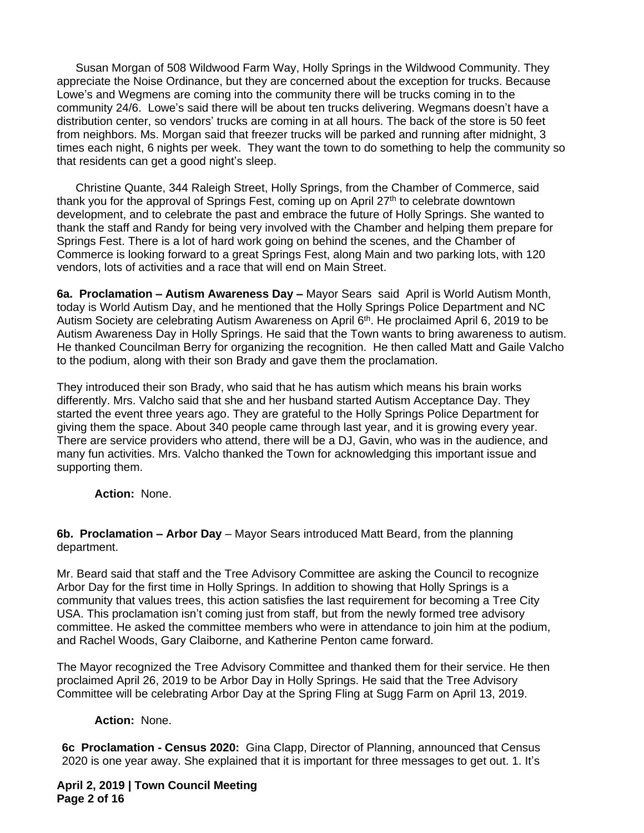Susan Morgan of 508 Wildwood Farm Way, Holly Springs in the Wildwood Community. They appreciate the Noise Ordinance, but they are concerned about the exception for trucks. Because Lowe's and Wegmens are coming into the community there will be trucks coming in to the community 24/6. Lowe's said there will be about ten trucks delivering. Wegmans doesn't have a distribution center, so vendors' trucks are coming in at all hours. The back of the store is 50 feet from neighbors. Ms. Morgan said that freezer trucks will be parked and running after midnight, 3 times each night, 6 nights per week. They want the town to do something to help the community so that residents can get a good night's sleep.

Christine Quante, 344 Raleigh Street, Holly Springs, from the Chamber of Commerce, said thank you for the approval of Springs Fest, coming up on April 27<sup>th</sup> to celebrate downtown development, and to celebrate the past and embrace the future of Holly Springs. She wanted to thank the staff and Randy for being very involved with the Chamber and helping them prepare for Springs Fest. There is a lot of hard work going on behind the scenes, and the Chamber of Commerce is looking forward to a great Springs Fest, along Main and two parking lots, with 120 vendors, lots of activities and a race that will end on Main Street.

**6a. Proclamation – Autism Awareness Day –** Mayor Sears said April is World Autism Month, today is World Autism Day, and he mentioned that the Holly Springs Police Department and NC Autism Society are celebrating Autism Awareness on April 6<sup>th</sup>. He proclaimed April 6, 2019 to be Autism Awareness Day in Holly Springs. He said that the Town wants to bring awareness to autism. He thanked Councilman Berry for organizing the recognition. He then called Matt and Gaile Valcho to the podium, along with their son Brady and gave them the proclamation.

They introduced their son Brady, who said that he has autism which means his brain works differently. Mrs. Valcho said that she and her husband started Autism Acceptance Day. They started the event three years ago. They are grateful to the Holly Springs Police Department for giving them the space. About 340 people came through last year, and it is growing every year. There are service providers who attend, there will be a DJ, Gavin, who was in the audience, and many fun activities. Mrs. Valcho thanked the Town for acknowledging this important issue and supporting them.

**Action:** None.

**6b. Proclamation – Arbor Day** – Mayor Sears introduced Matt Beard, from the planning department.

Mr. Beard said that staff and the Tree Advisory Committee are asking the Council to recognize Arbor Day for the first time in Holly Springs. In addition to showing that Holly Springs is a community that values trees, this action satisfies the last requirement for becoming a Tree City USA. This proclamation isn't coming just from staff, but from the newly formed tree advisory committee. He asked the committee members who were in attendance to join him at the podium, and Rachel Woods, Gary Claiborne, and Katherine Penton came forward.

The Mayor recognized the Tree Advisory Committee and thanked them for their service. He then proclaimed April 26, 2019 to be Arbor Day in Holly Springs. He said that the Tree Advisory Committee will be celebrating Arbor Day at the Spring Fling at Sugg Farm on April 13, 2019.

# **Action:** None.

**6c Proclamation - Census 2020:** Gina Clapp, Director of Planning, announced that Census 2020 is one year away. She explained that it is important for three messages to get out. 1. It's

**April 2, 2019 | Town Council Meeting Page 2 of 16**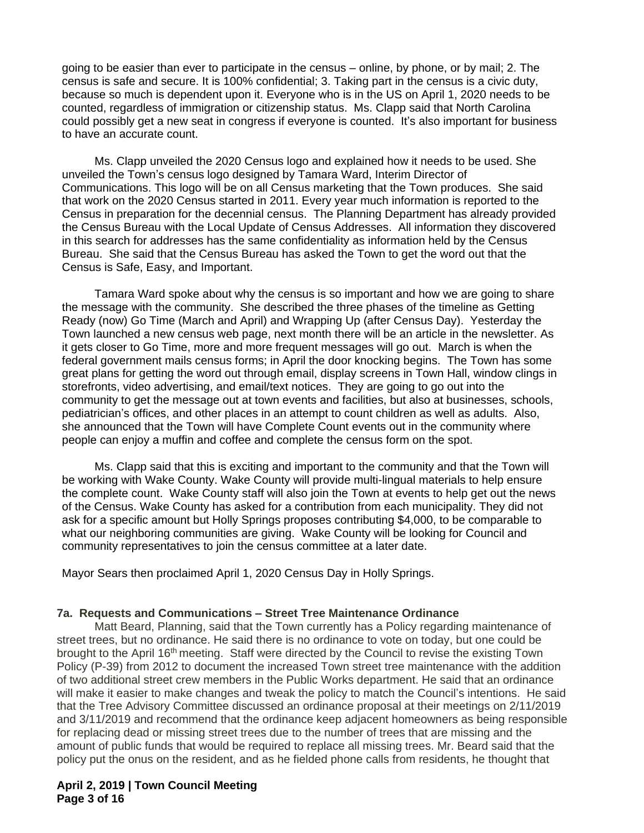going to be easier than ever to participate in the census – online, by phone, or by mail; 2. The census is safe and secure. It is 100% confidential; 3. Taking part in the census is a civic duty, because so much is dependent upon it. Everyone who is in the US on April 1, 2020 needs to be counted, regardless of immigration or citizenship status. Ms. Clapp said that North Carolina could possibly get a new seat in congress if everyone is counted. It's also important for business to have an accurate count.

Ms. Clapp unveiled the 2020 Census logo and explained how it needs to be used. She unveiled the Town's census logo designed by Tamara Ward, Interim Director of Communications. This logo will be on all Census marketing that the Town produces. She said that work on the 2020 Census started in 2011. Every year much information is reported to the Census in preparation for the decennial census. The Planning Department has already provided the Census Bureau with the Local Update of Census Addresses. All information they discovered in this search for addresses has the same confidentiality as information held by the Census Bureau. She said that the Census Bureau has asked the Town to get the word out that the Census is Safe, Easy, and Important.

Tamara Ward spoke about why the census is so important and how we are going to share the message with the community. She described the three phases of the timeline as Getting Ready (now) Go Time (March and April) and Wrapping Up (after Census Day). Yesterday the Town launched a new census web page, next month there will be an article in the newsletter. As it gets closer to Go Time, more and more frequent messages will go out. March is when the federal government mails census forms; in April the door knocking begins. The Town has some great plans for getting the word out through email, display screens in Town Hall, window clings in storefronts, video advertising, and email/text notices. They are going to go out into the community to get the message out at town events and facilities, but also at businesses, schools, pediatrician's offices, and other places in an attempt to count children as well as adults. Also, she announced that the Town will have Complete Count events out in the community where people can enjoy a muffin and coffee and complete the census form on the spot.

Ms. Clapp said that this is exciting and important to the community and that the Town will be working with Wake County. Wake County will provide multi-lingual materials to help ensure the complete count. Wake County staff will also join the Town at events to help get out the news of the Census. Wake County has asked for a contribution from each municipality. They did not ask for a specific amount but Holly Springs proposes contributing \$4,000, to be comparable to what our neighboring communities are giving. Wake County will be looking for Council and community representatives to join the census committee at a later date.

Mayor Sears then proclaimed April 1, 2020 Census Day in Holly Springs.

#### **7a. Requests and Communications – Street Tree Maintenance Ordinance**

Matt Beard, Planning, said that the Town currently has a Policy regarding maintenance of street trees, but no ordinance. He said there is no ordinance to vote on today, but one could be brought to the April 16th meeting. Staff were directed by the Council to revise the existing Town Policy (P-39) from 2012 to document the increased Town street tree maintenance with the addition of two additional street crew members in the Public Works department. He said that an ordinance will make it easier to make changes and tweak the policy to match the Council's intentions. He said that the Tree Advisory Committee discussed an ordinance proposal at their meetings on 2/11/2019 and 3/11/2019 and recommend that the ordinance keep adjacent homeowners as being responsible for replacing dead or missing street trees due to the number of trees that are missing and the amount of public funds that would be required to replace all missing trees. Mr. Beard said that the policy put the onus on the resident, and as he fielded phone calls from residents, he thought that

# **April 2, 2019 | Town Council Meeting Page 3 of 16**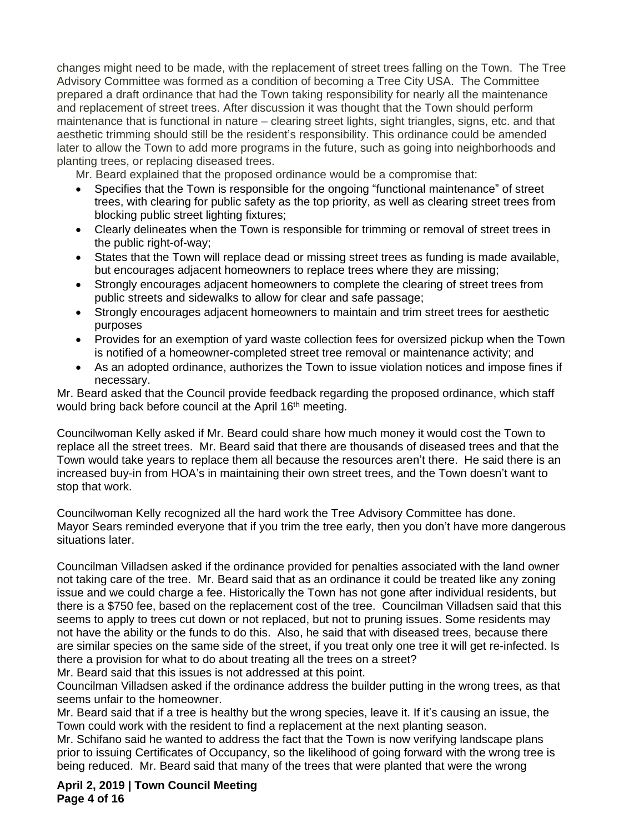changes might need to be made, with the replacement of street trees falling on the Town. The Tree Advisory Committee was formed as a condition of becoming a Tree City USA. The Committee prepared a draft ordinance that had the Town taking responsibility for nearly all the maintenance and replacement of street trees. After discussion it was thought that the Town should perform maintenance that is functional in nature – clearing street lights, sight triangles, signs, etc. and that aesthetic trimming should still be the resident's responsibility. This ordinance could be amended later to allow the Town to add more programs in the future, such as going into neighborhoods and planting trees, or replacing diseased trees.

Mr. Beard explained that the proposed ordinance would be a compromise that:

- Specifies that the Town is responsible for the ongoing "functional maintenance" of street trees, with clearing for public safety as the top priority, as well as clearing street trees from blocking public street lighting fixtures;
- Clearly delineates when the Town is responsible for trimming or removal of street trees in the public right-of-way;
- States that the Town will replace dead or missing street trees as funding is made available, but encourages adjacent homeowners to replace trees where they are missing;
- Strongly encourages adjacent homeowners to complete the clearing of street trees from public streets and sidewalks to allow for clear and safe passage;
- Strongly encourages adjacent homeowners to maintain and trim street trees for aesthetic purposes
- Provides for an exemption of yard waste collection fees for oversized pickup when the Town is notified of a homeowner-completed street tree removal or maintenance activity; and
- As an adopted ordinance, authorizes the Town to issue violation notices and impose fines if necessary.

Mr. Beard asked that the Council provide feedback regarding the proposed ordinance, which staff would bring back before council at the April 16<sup>th</sup> meeting.

Councilwoman Kelly asked if Mr. Beard could share how much money it would cost the Town to replace all the street trees. Mr. Beard said that there are thousands of diseased trees and that the Town would take years to replace them all because the resources aren't there. He said there is an increased buy-in from HOA's in maintaining their own street trees, and the Town doesn't want to stop that work.

Councilwoman Kelly recognized all the hard work the Tree Advisory Committee has done. Mayor Sears reminded everyone that if you trim the tree early, then you don't have more dangerous situations later.

Councilman Villadsen asked if the ordinance provided for penalties associated with the land owner not taking care of the tree. Mr. Beard said that as an ordinance it could be treated like any zoning issue and we could charge a fee. Historically the Town has not gone after individual residents, but there is a \$750 fee, based on the replacement cost of the tree. Councilman Villadsen said that this seems to apply to trees cut down or not replaced, but not to pruning issues. Some residents may not have the ability or the funds to do this. Also, he said that with diseased trees, because there are similar species on the same side of the street, if you treat only one tree it will get re-infected. Is there a provision for what to do about treating all the trees on a street?

Mr. Beard said that this issues is not addressed at this point.

Councilman Villadsen asked if the ordinance address the builder putting in the wrong trees, as that seems unfair to the homeowner.

Mr. Beard said that if a tree is healthy but the wrong species, leave it. If it's causing an issue, the Town could work with the resident to find a replacement at the next planting season.

Mr. Schifano said he wanted to address the fact that the Town is now verifying landscape plans prior to issuing Certificates of Occupancy, so the likelihood of going forward with the wrong tree is being reduced. Mr. Beard said that many of the trees that were planted that were the wrong

**April 2, 2019 | Town Council Meeting Page 4 of 16**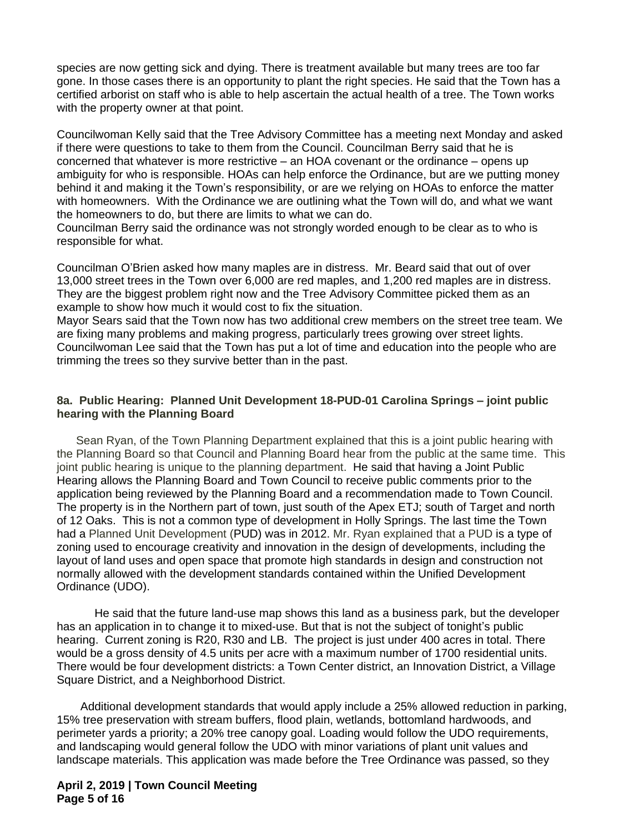species are now getting sick and dying. There is treatment available but many trees are too far gone. In those cases there is an opportunity to plant the right species. He said that the Town has a certified arborist on staff who is able to help ascertain the actual health of a tree. The Town works with the property owner at that point.

Councilwoman Kelly said that the Tree Advisory Committee has a meeting next Monday and asked if there were questions to take to them from the Council. Councilman Berry said that he is concerned that whatever is more restrictive – an HOA covenant or the ordinance – opens up ambiguity for who is responsible. HOAs can help enforce the Ordinance, but are we putting money behind it and making it the Town's responsibility, or are we relying on HOAs to enforce the matter with homeowners. With the Ordinance we are outlining what the Town will do, and what we want the homeowners to do, but there are limits to what we can do.

Councilman Berry said the ordinance was not strongly worded enough to be clear as to who is responsible for what.

Councilman O'Brien asked how many maples are in distress. Mr. Beard said that out of over 13,000 street trees in the Town over 6,000 are red maples, and 1,200 red maples are in distress. They are the biggest problem right now and the Tree Advisory Committee picked them as an example to show how much it would cost to fix the situation.

Mayor Sears said that the Town now has two additional crew members on the street tree team. We are fixing many problems and making progress, particularly trees growing over street lights. Councilwoman Lee said that the Town has put a lot of time and education into the people who are trimming the trees so they survive better than in the past.

# **8a. Public Hearing: Planned Unit Development 18-PUD-01 Carolina Springs – joint public hearing with the Planning Board**

 Sean Ryan, of the Town Planning Department explained that this is a joint public hearing with the Planning Board so that Council and Planning Board hear from the public at the same time. This joint public hearing is unique to the planning department. He said that having a Joint Public Hearing allows the Planning Board and Town Council to receive public comments prior to the application being reviewed by the Planning Board and a recommendation made to Town Council. The property is in the Northern part of town, just south of the Apex ETJ; south of Target and north of 12 Oaks. This is not a common type of development in Holly Springs. The last time the Town had a Planned Unit Development (PUD) was in 2012. Mr. Ryan explained that a PUD is a type of zoning used to encourage creativity and innovation in the design of developments, including the layout of land uses and open space that promote high standards in design and construction not normally allowed with the development standards contained within the Unified Development Ordinance (UDO).

He said that the future land-use map shows this land as a business park, but the developer has an application in to change it to mixed-use. But that is not the subject of tonight's public hearing. Current zoning is R20, R30 and LB. The project is just under 400 acres in total. There would be a gross density of 4.5 units per acre with a maximum number of 1700 residential units. There would be four development districts: a Town Center district, an Innovation District, a Village Square District, and a Neighborhood District.

Additional development standards that would apply include a 25% allowed reduction in parking, 15% tree preservation with stream buffers, flood plain, wetlands, bottomland hardwoods, and perimeter yards a priority; a 20% tree canopy goal. Loading would follow the UDO requirements, and landscaping would general follow the UDO with minor variations of plant unit values and landscape materials. This application was made before the Tree Ordinance was passed, so they

**April 2, 2019 | Town Council Meeting Page 5 of 16**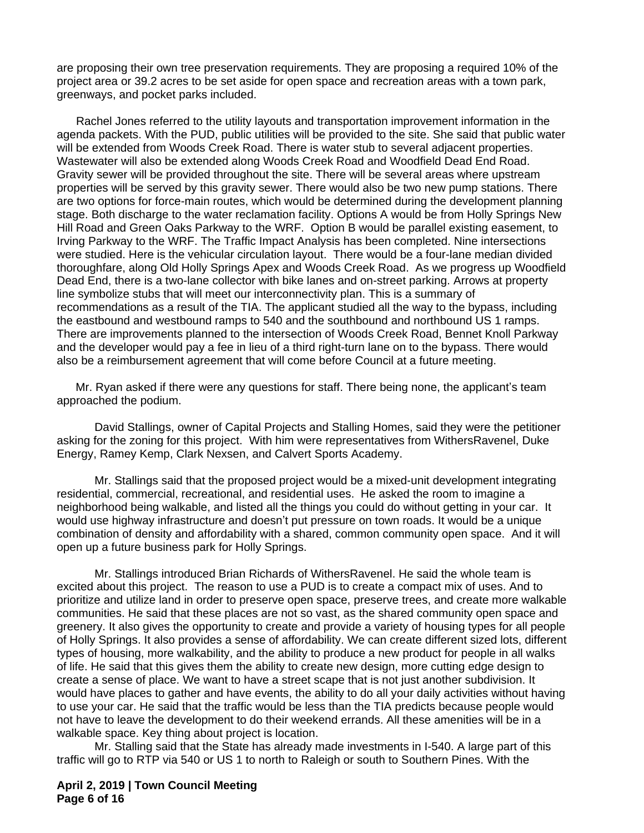are proposing their own tree preservation requirements. They are proposing a required 10% of the project area or 39.2 acres to be set aside for open space and recreation areas with a town park, greenways, and pocket parks included.

 Rachel Jones referred to the utility layouts and transportation improvement information in the agenda packets. With the PUD, public utilities will be provided to the site. She said that public water will be extended from Woods Creek Road. There is water stub to several adjacent properties. Wastewater will also be extended along Woods Creek Road and Woodfield Dead End Road. Gravity sewer will be provided throughout the site. There will be several areas where upstream properties will be served by this gravity sewer. There would also be two new pump stations. There are two options for force-main routes, which would be determined during the development planning stage. Both discharge to the water reclamation facility. Options A would be from Holly Springs New Hill Road and Green Oaks Parkway to the WRF. Option B would be parallel existing easement, to Irving Parkway to the WRF. The Traffic Impact Analysis has been completed. Nine intersections were studied. Here is the vehicular circulation layout. There would be a four-lane median divided thoroughfare, along Old Holly Springs Apex and Woods Creek Road. As we progress up Woodfield Dead End, there is a two-lane collector with bike lanes and on-street parking. Arrows at property line symbolize stubs that will meet our interconnectivity plan. This is a summary of recommendations as a result of the TIA. The applicant studied all the way to the bypass, including the eastbound and westbound ramps to 540 and the southbound and northbound US 1 ramps. There are improvements planned to the intersection of Woods Creek Road, Bennet Knoll Parkway and the developer would pay a fee in lieu of a third right-turn lane on to the bypass. There would also be a reimbursement agreement that will come before Council at a future meeting.

Mr. Ryan asked if there were any questions for staff. There being none, the applicant's team approached the podium.

David Stallings, owner of Capital Projects and Stalling Homes, said they were the petitioner asking for the zoning for this project. With him were representatives from WithersRavenel, Duke Energy, Ramey Kemp, Clark Nexsen, and Calvert Sports Academy.

Mr. Stallings said that the proposed project would be a mixed-unit development integrating residential, commercial, recreational, and residential uses. He asked the room to imagine a neighborhood being walkable, and listed all the things you could do without getting in your car. It would use highway infrastructure and doesn't put pressure on town roads. It would be a unique combination of density and affordability with a shared, common community open space. And it will open up a future business park for Holly Springs.

Mr. Stallings introduced Brian Richards of WithersRavenel. He said the whole team is excited about this project. The reason to use a PUD is to create a compact mix of uses. And to prioritize and utilize land in order to preserve open space, preserve trees, and create more walkable communities. He said that these places are not so vast, as the shared community open space and greenery. It also gives the opportunity to create and provide a variety of housing types for all people of Holly Springs. It also provides a sense of affordability. We can create different sized lots, different types of housing, more walkability, and the ability to produce a new product for people in all walks of life. He said that this gives them the ability to create new design, more cutting edge design to create a sense of place. We want to have a street scape that is not just another subdivision. It would have places to gather and have events, the ability to do all your daily activities without having to use your car. He said that the traffic would be less than the TIA predicts because people would not have to leave the development to do their weekend errands. All these amenities will be in a walkable space. Key thing about project is location.

Mr. Stalling said that the State has already made investments in I-540. A large part of this traffic will go to RTP via 540 or US 1 to north to Raleigh or south to Southern Pines. With the

**April 2, 2019 | Town Council Meeting Page 6 of 16**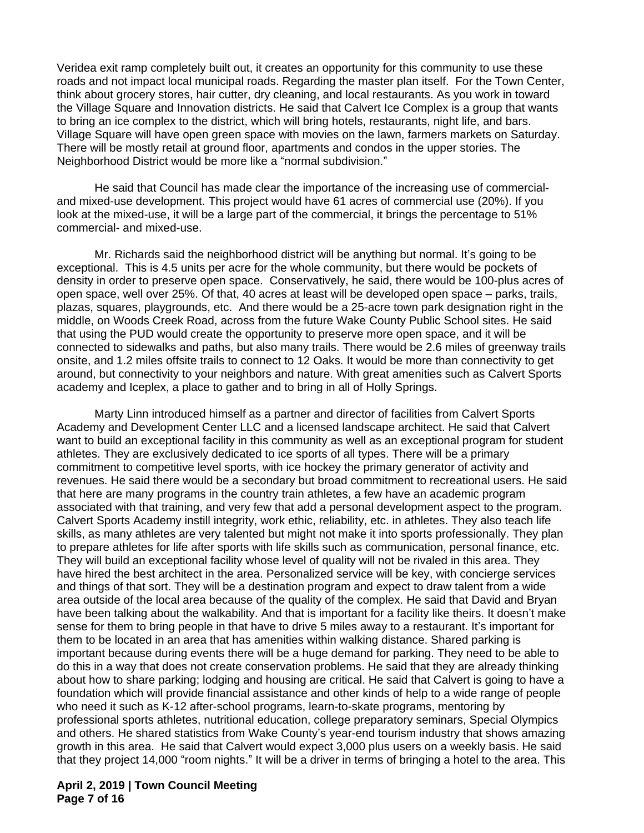Veridea exit ramp completely built out, it creates an opportunity for this community to use these roads and not impact local municipal roads. Regarding the master plan itself. For the Town Center, think about grocery stores, hair cutter, dry cleaning, and local restaurants. As you work in toward the Village Square and Innovation districts. He said that Calvert Ice Complex is a group that wants to bring an ice complex to the district, which will bring hotels, restaurants, night life, and bars. Village Square will have open green space with movies on the lawn, farmers markets on Saturday. There will be mostly retail at ground floor, apartments and condos in the upper stories. The Neighborhood District would be more like a "normal subdivision."

He said that Council has made clear the importance of the increasing use of commercialand mixed-use development. This project would have 61 acres of commercial use (20%). If you look at the mixed-use, it will be a large part of the commercial, it brings the percentage to 51% commercial- and mixed-use.

Mr. Richards said the neighborhood district will be anything but normal. It's going to be exceptional. This is 4.5 units per acre for the whole community, but there would be pockets of density in order to preserve open space. Conservatively, he said, there would be 100-plus acres of open space, well over 25%. Of that, 40 acres at least will be developed open space – parks, trails, plazas, squares, playgrounds, etc. And there would be a 25-acre town park designation right in the middle, on Woods Creek Road, across from the future Wake County Public School sites. He said that using the PUD would create the opportunity to preserve more open space, and it will be connected to sidewalks and paths, but also many trails. There would be 2.6 miles of greenway trails onsite, and 1.2 miles offsite trails to connect to 12 Oaks. It would be more than connectivity to get around, but connectivity to your neighbors and nature. With great amenities such as Calvert Sports academy and Iceplex, a place to gather and to bring in all of Holly Springs.

Marty Linn introduced himself as a partner and director of facilities from Calvert Sports Academy and Development Center LLC and a licensed landscape architect. He said that Calvert want to build an exceptional facility in this community as well as an exceptional program for student athletes. They are exclusively dedicated to ice sports of all types. There will be a primary commitment to competitive level sports, with ice hockey the primary generator of activity and revenues. He said there would be a secondary but broad commitment to recreational users. He said that here are many programs in the country train athletes, a few have an academic program associated with that training, and very few that add a personal development aspect to the program. Calvert Sports Academy instill integrity, work ethic, reliability, etc. in athletes. They also teach life skills, as many athletes are very talented but might not make it into sports professionally. They plan to prepare athletes for life after sports with life skills such as communication, personal finance, etc. They will build an exceptional facility whose level of quality will not be rivaled in this area. They have hired the best architect in the area. Personalized service will be key, with concierge services and things of that sort. They will be a destination program and expect to draw talent from a wide area outside of the local area because of the quality of the complex. He said that David and Bryan have been talking about the walkability. And that is important for a facility like theirs. It doesn't make sense for them to bring people in that have to drive 5 miles away to a restaurant. It's important for them to be located in an area that has amenities within walking distance. Shared parking is important because during events there will be a huge demand for parking. They need to be able to do this in a way that does not create conservation problems. He said that they are already thinking about how to share parking; lodging and housing are critical. He said that Calvert is going to have a foundation which will provide financial assistance and other kinds of help to a wide range of people who need it such as K-12 after-school programs, learn-to-skate programs, mentoring by professional sports athletes, nutritional education, college preparatory seminars, Special Olympics and others. He shared statistics from Wake County's year-end tourism industry that shows amazing growth in this area. He said that Calvert would expect 3,000 plus users on a weekly basis. He said that they project 14,000 "room nights." It will be a driver in terms of bringing a hotel to the area. This

**April 2, 2019 | Town Council Meeting Page 7 of 16**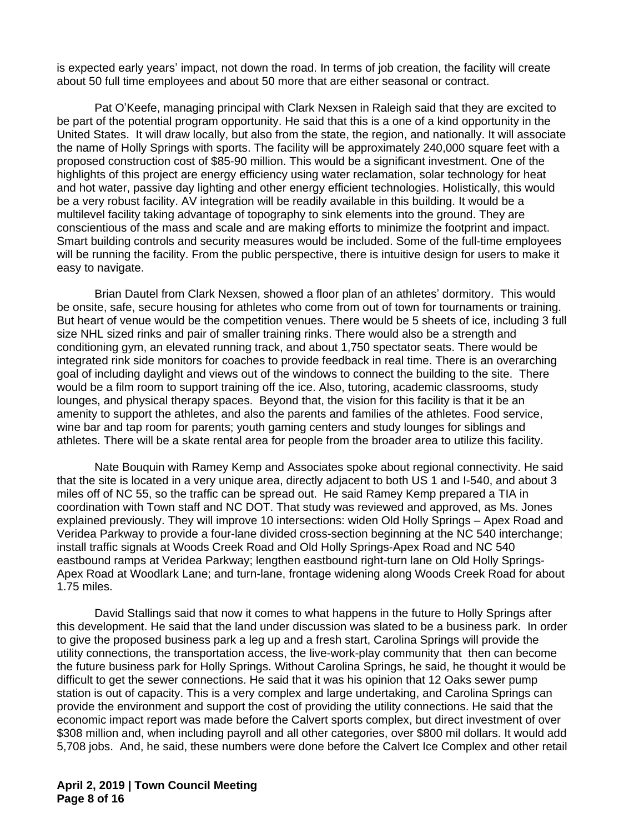is expected early years' impact, not down the road. In terms of job creation, the facility will create about 50 full time employees and about 50 more that are either seasonal or contract.

Pat O'Keefe, managing principal with Clark Nexsen in Raleigh said that they are excited to be part of the potential program opportunity. He said that this is a one of a kind opportunity in the United States. It will draw locally, but also from the state, the region, and nationally. It will associate the name of Holly Springs with sports. The facility will be approximately 240,000 square feet with a proposed construction cost of \$85-90 million. This would be a significant investment. One of the highlights of this project are energy efficiency using water reclamation, solar technology for heat and hot water, passive day lighting and other energy efficient technologies. Holistically, this would be a very robust facility. AV integration will be readily available in this building. It would be a multilevel facility taking advantage of topography to sink elements into the ground. They are conscientious of the mass and scale and are making efforts to minimize the footprint and impact. Smart building controls and security measures would be included. Some of the full-time employees will be running the facility. From the public perspective, there is intuitive design for users to make it easy to navigate.

Brian Dautel from Clark Nexsen, showed a floor plan of an athletes' dormitory. This would be onsite, safe, secure housing for athletes who come from out of town for tournaments or training. But heart of venue would be the competition venues. There would be 5 sheets of ice, including 3 full size NHL sized rinks and pair of smaller training rinks. There would also be a strength and conditioning gym, an elevated running track, and about 1,750 spectator seats. There would be integrated rink side monitors for coaches to provide feedback in real time. There is an overarching goal of including daylight and views out of the windows to connect the building to the site. There would be a film room to support training off the ice. Also, tutoring, academic classrooms, study lounges, and physical therapy spaces. Beyond that, the vision for this facility is that it be an amenity to support the athletes, and also the parents and families of the athletes. Food service, wine bar and tap room for parents; youth gaming centers and study lounges for siblings and athletes. There will be a skate rental area for people from the broader area to utilize this facility.

Nate Bouquin with Ramey Kemp and Associates spoke about regional connectivity. He said that the site is located in a very unique area, directly adjacent to both US 1 and I-540, and about 3 miles off of NC 55, so the traffic can be spread out. He said Ramey Kemp prepared a TIA in coordination with Town staff and NC DOT. That study was reviewed and approved, as Ms. Jones explained previously. They will improve 10 intersections: widen Old Holly Springs – Apex Road and Veridea Parkway to provide a four-lane divided cross-section beginning at the NC 540 interchange; install traffic signals at Woods Creek Road and Old Holly Springs-Apex Road and NC 540 eastbound ramps at Veridea Parkway; lengthen eastbound right-turn lane on Old Holly Springs-Apex Road at Woodlark Lane; and turn-lane, frontage widening along Woods Creek Road for about 1.75 miles.

David Stallings said that now it comes to what happens in the future to Holly Springs after this development. He said that the land under discussion was slated to be a business park. In order to give the proposed business park a leg up and a fresh start, Carolina Springs will provide the utility connections, the transportation access, the live-work-play community that then can become the future business park for Holly Springs. Without Carolina Springs, he said, he thought it would be difficult to get the sewer connections. He said that it was his opinion that 12 Oaks sewer pump station is out of capacity. This is a very complex and large undertaking, and Carolina Springs can provide the environment and support the cost of providing the utility connections. He said that the economic impact report was made before the Calvert sports complex, but direct investment of over \$308 million and, when including payroll and all other categories, over \$800 mil dollars. It would add 5,708 jobs. And, he said, these numbers were done before the Calvert Ice Complex and other retail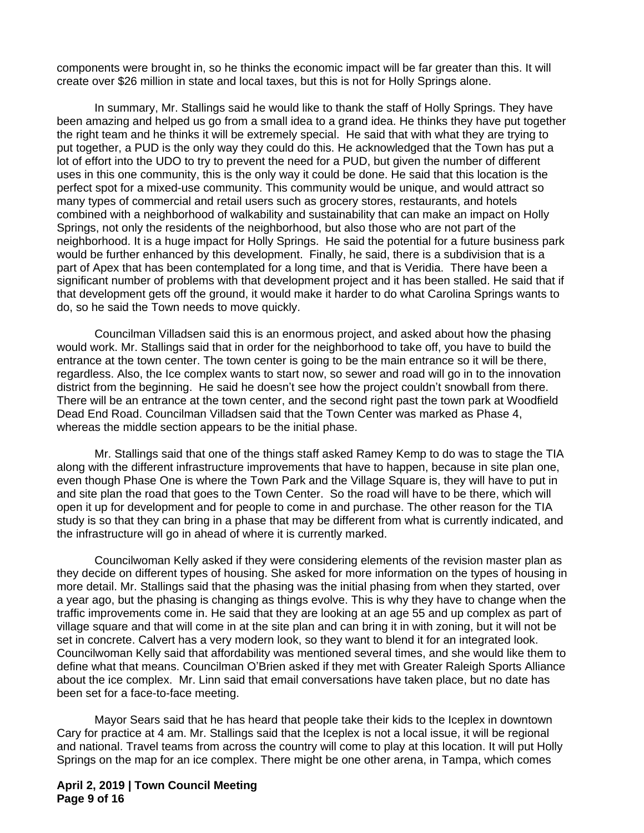components were brought in, so he thinks the economic impact will be far greater than this. It will create over \$26 million in state and local taxes, but this is not for Holly Springs alone.

In summary, Mr. Stallings said he would like to thank the staff of Holly Springs. They have been amazing and helped us go from a small idea to a grand idea. He thinks they have put together the right team and he thinks it will be extremely special. He said that with what they are trying to put together, a PUD is the only way they could do this. He acknowledged that the Town has put a lot of effort into the UDO to try to prevent the need for a PUD, but given the number of different uses in this one community, this is the only way it could be done. He said that this location is the perfect spot for a mixed-use community. This community would be unique, and would attract so many types of commercial and retail users such as grocery stores, restaurants, and hotels combined with a neighborhood of walkability and sustainability that can make an impact on Holly Springs, not only the residents of the neighborhood, but also those who are not part of the neighborhood. It is a huge impact for Holly Springs. He said the potential for a future business park would be further enhanced by this development. Finally, he said, there is a subdivision that is a part of Apex that has been contemplated for a long time, and that is Veridia. There have been a significant number of problems with that development project and it has been stalled. He said that if that development gets off the ground, it would make it harder to do what Carolina Springs wants to do, so he said the Town needs to move quickly.

Councilman Villadsen said this is an enormous project, and asked about how the phasing would work. Mr. Stallings said that in order for the neighborhood to take off, you have to build the entrance at the town center. The town center is going to be the main entrance so it will be there, regardless. Also, the Ice complex wants to start now, so sewer and road will go in to the innovation district from the beginning. He said he doesn't see how the project couldn't snowball from there. There will be an entrance at the town center, and the second right past the town park at Woodfield Dead End Road. Councilman Villadsen said that the Town Center was marked as Phase 4, whereas the middle section appears to be the initial phase.

Mr. Stallings said that one of the things staff asked Ramey Kemp to do was to stage the TIA along with the different infrastructure improvements that have to happen, because in site plan one, even though Phase One is where the Town Park and the Village Square is, they will have to put in and site plan the road that goes to the Town Center. So the road will have to be there, which will open it up for development and for people to come in and purchase. The other reason for the TIA study is so that they can bring in a phase that may be different from what is currently indicated, and the infrastructure will go in ahead of where it is currently marked.

Councilwoman Kelly asked if they were considering elements of the revision master plan as they decide on different types of housing. She asked for more information on the types of housing in more detail. Mr. Stallings said that the phasing was the initial phasing from when they started, over a year ago, but the phasing is changing as things evolve. This is why they have to change when the traffic improvements come in. He said that they are looking at an age 55 and up complex as part of village square and that will come in at the site plan and can bring it in with zoning, but it will not be set in concrete. Calvert has a very modern look, so they want to blend it for an integrated look. Councilwoman Kelly said that affordability was mentioned several times, and she would like them to define what that means. Councilman O'Brien asked if they met with Greater Raleigh Sports Alliance about the ice complex. Mr. Linn said that email conversations have taken place, but no date has been set for a face-to-face meeting.

Mayor Sears said that he has heard that people take their kids to the Iceplex in downtown Cary for practice at 4 am. Mr. Stallings said that the Iceplex is not a local issue, it will be regional and national. Travel teams from across the country will come to play at this location. It will put Holly Springs on the map for an ice complex. There might be one other arena, in Tampa, which comes

**April 2, 2019 | Town Council Meeting Page 9 of 16**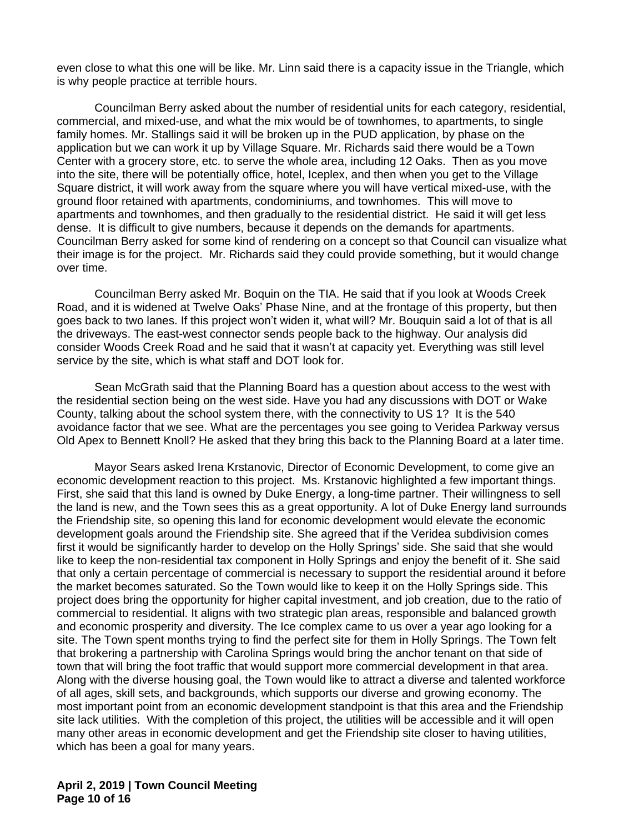even close to what this one will be like. Mr. Linn said there is a capacity issue in the Triangle, which is why people practice at terrible hours.

Councilman Berry asked about the number of residential units for each category, residential, commercial, and mixed-use, and what the mix would be of townhomes, to apartments, to single family homes. Mr. Stallings said it will be broken up in the PUD application, by phase on the application but we can work it up by Village Square. Mr. Richards said there would be a Town Center with a grocery store, etc. to serve the whole area, including 12 Oaks. Then as you move into the site, there will be potentially office, hotel, Iceplex, and then when you get to the Village Square district, it will work away from the square where you will have vertical mixed-use, with the ground floor retained with apartments, condominiums, and townhomes. This will move to apartments and townhomes, and then gradually to the residential district. He said it will get less dense. It is difficult to give numbers, because it depends on the demands for apartments. Councilman Berry asked for some kind of rendering on a concept so that Council can visualize what their image is for the project. Mr. Richards said they could provide something, but it would change over time.

Councilman Berry asked Mr. Boquin on the TIA. He said that if you look at Woods Creek Road, and it is widened at Twelve Oaks' Phase Nine, and at the frontage of this property, but then goes back to two lanes. If this project won't widen it, what will? Mr. Bouquin said a lot of that is all the driveways. The east-west connector sends people back to the highway. Our analysis did consider Woods Creek Road and he said that it wasn't at capacity yet. Everything was still level service by the site, which is what staff and DOT look for.

Sean McGrath said that the Planning Board has a question about access to the west with the residential section being on the west side. Have you had any discussions with DOT or Wake County, talking about the school system there, with the connectivity to US 1? It is the 540 avoidance factor that we see. What are the percentages you see going to Veridea Parkway versus Old Apex to Bennett Knoll? He asked that they bring this back to the Planning Board at a later time.

Mayor Sears asked Irena Krstanovic, Director of Economic Development, to come give an economic development reaction to this project. Ms. Krstanovic highlighted a few important things. First, she said that this land is owned by Duke Energy, a long-time partner. Their willingness to sell the land is new, and the Town sees this as a great opportunity. A lot of Duke Energy land surrounds the Friendship site, so opening this land for economic development would elevate the economic development goals around the Friendship site. She agreed that if the Veridea subdivision comes first it would be significantly harder to develop on the Holly Springs' side. She said that she would like to keep the non-residential tax component in Holly Springs and enjoy the benefit of it. She said that only a certain percentage of commercial is necessary to support the residential around it before the market becomes saturated. So the Town would like to keep it on the Holly Springs side. This project does bring the opportunity for higher capital investment, and job creation, due to the ratio of commercial to residential. It aligns with two strategic plan areas, responsible and balanced growth and economic prosperity and diversity. The Ice complex came to us over a year ago looking for a site. The Town spent months trying to find the perfect site for them in Holly Springs. The Town felt that brokering a partnership with Carolina Springs would bring the anchor tenant on that side of town that will bring the foot traffic that would support more commercial development in that area. Along with the diverse housing goal, the Town would like to attract a diverse and talented workforce of all ages, skill sets, and backgrounds, which supports our diverse and growing economy. The most important point from an economic development standpoint is that this area and the Friendship site lack utilities. With the completion of this project, the utilities will be accessible and it will open many other areas in economic development and get the Friendship site closer to having utilities, which has been a goal for many years.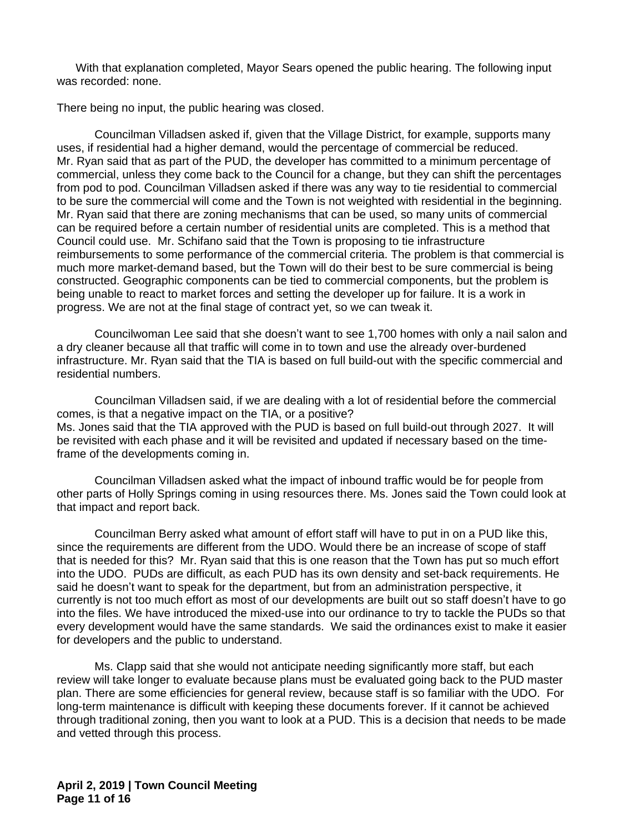With that explanation completed, Mayor Sears opened the public hearing. The following input was recorded: none.

There being no input, the public hearing was closed.

Councilman Villadsen asked if, given that the Village District, for example, supports many uses, if residential had a higher demand, would the percentage of commercial be reduced. Mr. Ryan said that as part of the PUD, the developer has committed to a minimum percentage of commercial, unless they come back to the Council for a change, but they can shift the percentages from pod to pod. Councilman Villadsen asked if there was any way to tie residential to commercial to be sure the commercial will come and the Town is not weighted with residential in the beginning. Mr. Ryan said that there are zoning mechanisms that can be used, so many units of commercial can be required before a certain number of residential units are completed. This is a method that Council could use. Mr. Schifano said that the Town is proposing to tie infrastructure reimbursements to some performance of the commercial criteria. The problem is that commercial is much more market-demand based, but the Town will do their best to be sure commercial is being constructed. Geographic components can be tied to commercial components, but the problem is being unable to react to market forces and setting the developer up for failure. It is a work in progress. We are not at the final stage of contract yet, so we can tweak it.

Councilwoman Lee said that she doesn't want to see 1,700 homes with only a nail salon and a dry cleaner because all that traffic will come in to town and use the already over-burdened infrastructure. Mr. Ryan said that the TIA is based on full build-out with the specific commercial and residential numbers.

Councilman Villadsen said, if we are dealing with a lot of residential before the commercial comes, is that a negative impact on the TIA, or a positive? Ms. Jones said that the TIA approved with the PUD is based on full build-out through 2027. It will be revisited with each phase and it will be revisited and updated if necessary based on the timeframe of the developments coming in.

Councilman Villadsen asked what the impact of inbound traffic would be for people from other parts of Holly Springs coming in using resources there. Ms. Jones said the Town could look at that impact and report back.

Councilman Berry asked what amount of effort staff will have to put in on a PUD like this, since the requirements are different from the UDO. Would there be an increase of scope of staff that is needed for this? Mr. Ryan said that this is one reason that the Town has put so much effort into the UDO. PUDs are difficult, as each PUD has its own density and set-back requirements. He said he doesn't want to speak for the department, but from an administration perspective, it currently is not too much effort as most of our developments are built out so staff doesn't have to go into the files. We have introduced the mixed-use into our ordinance to try to tackle the PUDs so that every development would have the same standards. We said the ordinances exist to make it easier for developers and the public to understand.

Ms. Clapp said that she would not anticipate needing significantly more staff, but each review will take longer to evaluate because plans must be evaluated going back to the PUD master plan. There are some efficiencies for general review, because staff is so familiar with the UDO. For long-term maintenance is difficult with keeping these documents forever. If it cannot be achieved through traditional zoning, then you want to look at a PUD. This is a decision that needs to be made and vetted through this process.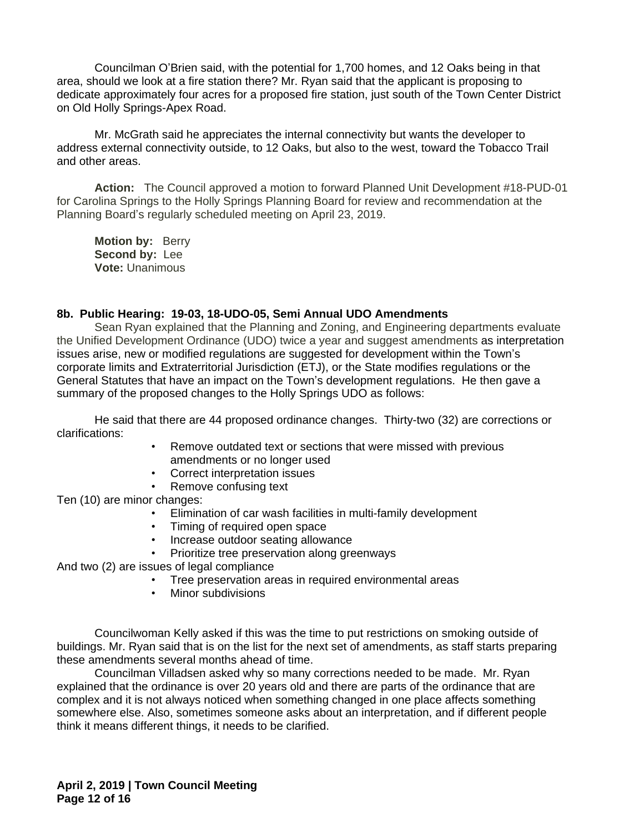Councilman O'Brien said, with the potential for 1,700 homes, and 12 Oaks being in that area, should we look at a fire station there? Mr. Ryan said that the applicant is proposing to dedicate approximately four acres for a proposed fire station, just south of the Town Center District on Old Holly Springs-Apex Road.

Mr. McGrath said he appreciates the internal connectivity but wants the developer to address external connectivity outside, to 12 Oaks, but also to the west, toward the Tobacco Trail and other areas.

**Action:** The Council approved a motion to forward Planned Unit Development #18-PUD-01 for Carolina Springs to the Holly Springs Planning Board for review and recommendation at the Planning Board's regularly scheduled meeting on April 23, 2019.

**Motion by:** Berry **Second by:** Lee **Vote:** Unanimous

### **8b. Public Hearing: 19-03, 18-UDO-05, Semi Annual UDO Amendments**

Sean Ryan explained that the Planning and Zoning, and Engineering departments evaluate the Unified Development Ordinance (UDO) twice a year and suggest amendments as interpretation issues arise, new or modified regulations are suggested for development within the Town's corporate limits and Extraterritorial Jurisdiction (ETJ), or the State modifies regulations or the General Statutes that have an impact on the Town's development regulations. He then gave a summary of the proposed changes to the Holly Springs UDO as follows:

He said that there are 44 proposed ordinance changes. Thirty-two (32) are corrections or clarifications:

- Remove outdated text or sections that were missed with previous amendments or no longer used
- Correct interpretation issues
- Remove confusing text

Ten (10) are minor changes:

- Elimination of car wash facilities in multi-family development<br>• Timing of required open space
- Timing of required open space
- Increase outdoor seating allowance
- Prioritize tree preservation along greenways

And two (2) are issues of legal compliance

- Tree preservation areas in required environmental areas
- Minor subdivisions

Councilwoman Kelly asked if this was the time to put restrictions on smoking outside of buildings. Mr. Ryan said that is on the list for the next set of amendments, as staff starts preparing these amendments several months ahead of time.

Councilman Villadsen asked why so many corrections needed to be made. Mr. Ryan explained that the ordinance is over 20 years old and there are parts of the ordinance that are complex and it is not always noticed when something changed in one place affects something somewhere else. Also, sometimes someone asks about an interpretation, and if different people think it means different things, it needs to be clarified.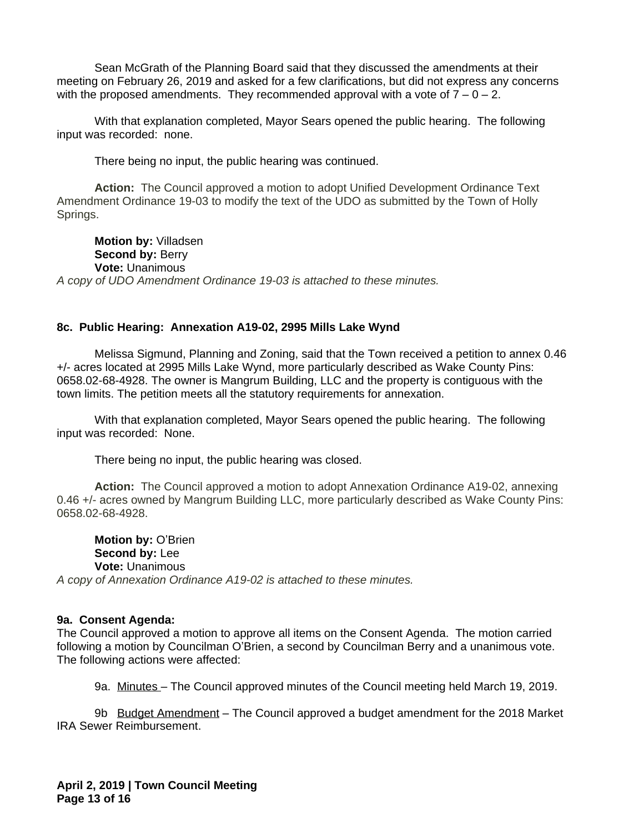Sean McGrath of the Planning Board said that they discussed the amendments at their meeting on February 26, 2019 and asked for a few clarifications, but did not express any concerns with the proposed amendments. They recommended approval with a vote of  $7 - 0 - 2$ .

With that explanation completed, Mayor Sears opened the public hearing. The following input was recorded: none.

There being no input, the public hearing was continued.

**Action:** The Council approved a motion to adopt Unified Development Ordinance Text Amendment Ordinance 19-03 to modify the text of the UDO as submitted by the Town of Holly Springs.

**Motion by:** Villadsen **Second by: Berry Vote:** Unanimous *A copy of UDO Amendment Ordinance 19-03 is attached to these minutes.*

### **8c. Public Hearing: Annexation A19-02, 2995 Mills Lake Wynd**

Melissa Sigmund, Planning and Zoning, said that the Town received a petition to annex 0.46 +/- acres located at 2995 Mills Lake Wynd, more particularly described as Wake County Pins: 0658.02-68-4928. The owner is Mangrum Building, LLC and the property is contiguous with the town limits. The petition meets all the statutory requirements for annexation.

With that explanation completed, Mayor Sears opened the public hearing. The following input was recorded: None.

There being no input, the public hearing was closed.

**Action:** The Council approved a motion to adopt Annexation Ordinance A19-02, annexing 0.46 +/- acres owned by Mangrum Building LLC, more particularly described as Wake County Pins: 0658.02-68-4928.

**Motion by:** O'Brien **Second by:** Lee **Vote:** Unanimous *A copy of Annexation Ordinance A19-02 is attached to these minutes.*

#### **9a. Consent Agenda:**

The Council approved a motion to approve all items on the Consent Agenda. The motion carried following a motion by Councilman O'Brien, a second by Councilman Berry and a unanimous vote. The following actions were affected:

9a. Minutes – The Council approved minutes of the Council meeting held March 19, 2019.

9b Budget Amendment – The Council approved a budget amendment for the 2018 Market IRA Sewer Reimbursement.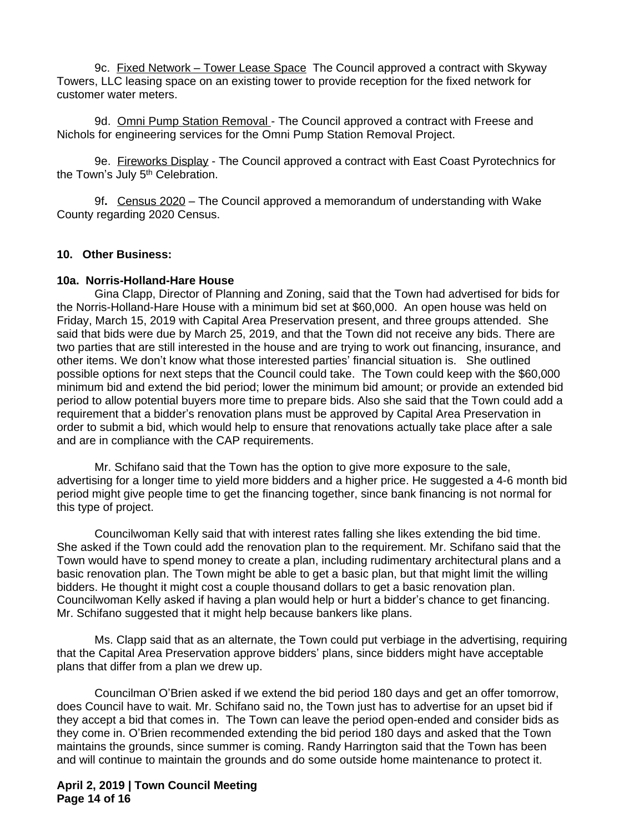9c. Fixed Network – Tower Lease Space The Council approved a contract with Skyway Towers, LLC leasing space on an existing tower to provide reception for the fixed network for customer water meters.

9d. Omni Pump Station Removal - The Council approved a contract with Freese and Nichols for engineering services for the Omni Pump Station Removal Project.

9e. Fireworks Display - The Council approved a contract with East Coast Pyrotechnics for the Town's July 5<sup>th</sup> Celebration.

9f**.** Census 2020 – The Council approved a memorandum of understanding with Wake County regarding 2020 Census.

### **10. Other Business:**

#### **10a. Norris-Holland-Hare House**

Gina Clapp, Director of Planning and Zoning, said that the Town had advertised for bids for the Norris-Holland-Hare House with a minimum bid set at \$60,000. An open house was held on Friday, March 15, 2019 with Capital Area Preservation present, and three groups attended. She said that bids were due by March 25, 2019, and that the Town did not receive any bids. There are two parties that are still interested in the house and are trying to work out financing, insurance, and other items. We don't know what those interested parties' financial situation is. She outlined possible options for next steps that the Council could take. The Town could keep with the \$60,000 minimum bid and extend the bid period; lower the minimum bid amount; or provide an extended bid period to allow potential buyers more time to prepare bids. Also she said that the Town could add a requirement that a bidder's renovation plans must be approved by Capital Area Preservation in order to submit a bid, which would help to ensure that renovations actually take place after a sale and are in compliance with the CAP requirements.

Mr. Schifano said that the Town has the option to give more exposure to the sale, advertising for a longer time to yield more bidders and a higher price. He suggested a 4-6 month bid period might give people time to get the financing together, since bank financing is not normal for this type of project.

Councilwoman Kelly said that with interest rates falling she likes extending the bid time. She asked if the Town could add the renovation plan to the requirement. Mr. Schifano said that the Town would have to spend money to create a plan, including rudimentary architectural plans and a basic renovation plan. The Town might be able to get a basic plan, but that might limit the willing bidders. He thought it might cost a couple thousand dollars to get a basic renovation plan. Councilwoman Kelly asked if having a plan would help or hurt a bidder's chance to get financing. Mr. Schifano suggested that it might help because bankers like plans.

Ms. Clapp said that as an alternate, the Town could put verbiage in the advertising, requiring that the Capital Area Preservation approve bidders' plans, since bidders might have acceptable plans that differ from a plan we drew up.

Councilman O'Brien asked if we extend the bid period 180 days and get an offer tomorrow, does Council have to wait. Mr. Schifano said no, the Town just has to advertise for an upset bid if they accept a bid that comes in. The Town can leave the period open-ended and consider bids as they come in. O'Brien recommended extending the bid period 180 days and asked that the Town maintains the grounds, since summer is coming. Randy Harrington said that the Town has been and will continue to maintain the grounds and do some outside home maintenance to protect it.

**April 2, 2019 | Town Council Meeting Page 14 of 16**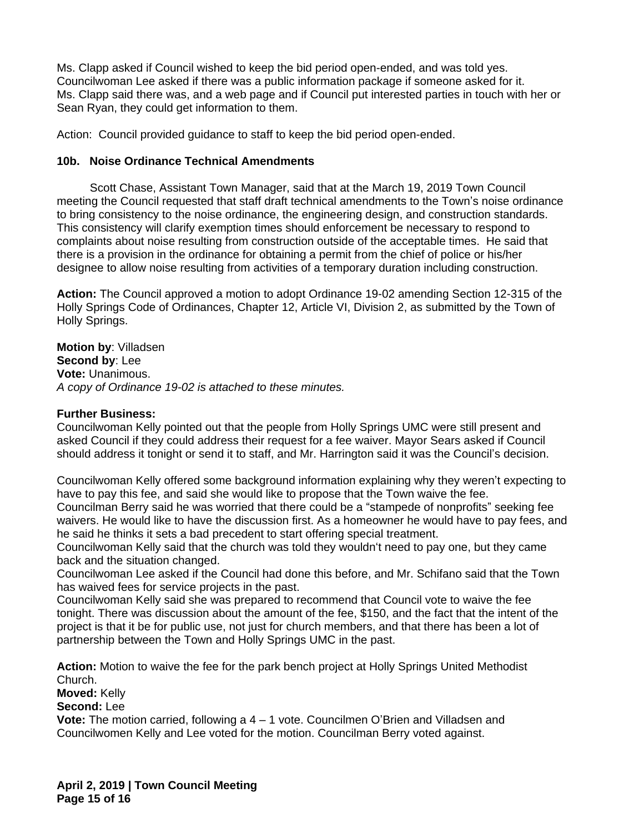Ms. Clapp asked if Council wished to keep the bid period open-ended, and was told yes. Councilwoman Lee asked if there was a public information package if someone asked for it. Ms. Clapp said there was, and a web page and if Council put interested parties in touch with her or Sean Ryan, they could get information to them.

Action: Council provided guidance to staff to keep the bid period open-ended.

# **10b. Noise Ordinance Technical Amendments**

Scott Chase, Assistant Town Manager, said that at the March 19, 2019 Town Council meeting the Council requested that staff draft technical amendments to the Town's noise ordinance to bring consistency to the noise ordinance, the engineering design, and construction standards. This consistency will clarify exemption times should enforcement be necessary to respond to complaints about noise resulting from construction outside of the acceptable times. He said that there is a provision in the ordinance for obtaining a permit from the chief of police or his/her designee to allow noise resulting from activities of a temporary duration including construction.

**Action:** The Council approved a motion to adopt Ordinance 19-02 amending Section 12-315 of the Holly Springs Code of Ordinances, Chapter 12, Article VI, Division 2, as submitted by the Town of Holly Springs.

**Motion by**: Villadsen **Second by**: Lee **Vote:** Unanimous. *A copy of Ordinance 19-02 is attached to these minutes.*

### **Further Business:**

Councilwoman Kelly pointed out that the people from Holly Springs UMC were still present and asked Council if they could address their request for a fee waiver. Mayor Sears asked if Council should address it tonight or send it to staff, and Mr. Harrington said it was the Council's decision.

Councilwoman Kelly offered some background information explaining why they weren't expecting to have to pay this fee, and said she would like to propose that the Town waive the fee.

Councilman Berry said he was worried that there could be a "stampede of nonprofits" seeking fee waivers. He would like to have the discussion first. As a homeowner he would have to pay fees, and he said he thinks it sets a bad precedent to start offering special treatment.

Councilwoman Kelly said that the church was told they wouldn't need to pay one, but they came back and the situation changed.

Councilwoman Lee asked if the Council had done this before, and Mr. Schifano said that the Town has waived fees for service projects in the past.

Councilwoman Kelly said she was prepared to recommend that Council vote to waive the fee tonight. There was discussion about the amount of the fee, \$150, and the fact that the intent of the project is that it be for public use, not just for church members, and that there has been a lot of partnership between the Town and Holly Springs UMC in the past.

**Action:** Motion to waive the fee for the park bench project at Holly Springs United Methodist Church.

**Moved:** Kelly

# **Second:** Lee

**Vote:** The motion carried, following a 4 – 1 vote. Councilmen O'Brien and Villadsen and Councilwomen Kelly and Lee voted for the motion. Councilman Berry voted against.